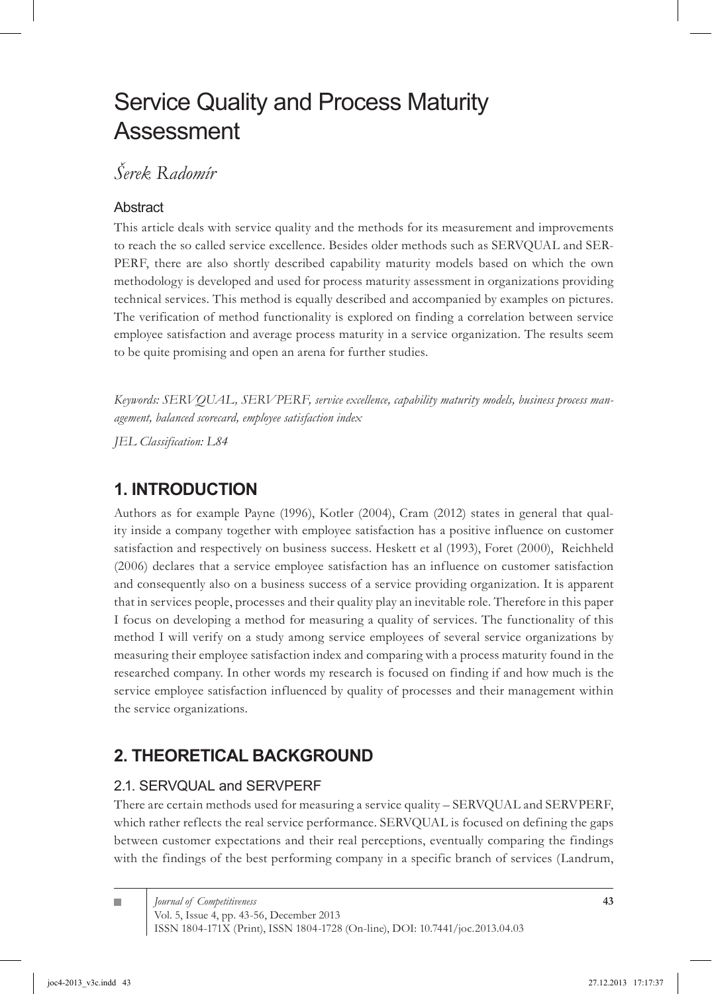# Service Quality and Process Maturity Assessment

## *Šerek Radomír*

### Abstract

This article deals with service quality and the methods for its measurement and improvements to reach the so called service excellence. Besides older methods such as SERVQUAL and SER-PERF, there are also shortly described capability maturity models based on which the own methodology is developed and used for process maturity assessment in organizations providing technical services. This method is equally described and accompanied by examples on pictures. The verification of method functionality is explored on finding a correlation between service employee satisfaction and average process maturity in a service organization. The results seem to be quite promising and open an arena for further studies.

*Keywords: SERVQUAL, SERVPERF, service excellence, capability maturity models, business process management, balanced scorecard, employee satisfaction index*

*JEL Classification: L84*

### **1. INTRODUCTION**

Authors as for example Payne (1996), Kotler (2004), Cram (2012) states in general that quality inside a company together with employee satisfaction has a positive influence on customer satisfaction and respectively on business success. Heskett et al (1993), Foret (2000), Reichheld (2006) declares that a service employee satisfaction has an influence on customer satisfaction and consequently also on a business success of a service providing organization. It is apparent that in services people, processes and their quality play an inevitable role. Therefore in this paper I focus on developing a method for measuring a quality of services. The functionality of this method I will verify on a study among service employees of several service organizations by measuring their employee satisfaction index and comparing with a process maturity found in the researched company. In other words my research is focused on finding if and how much is the service employee satisfaction influenced by quality of processes and their management within the service organizations.

## **2. THEORETICAL BACKGROUND**

### 2.1. SERVQUAL and SERVPERF

There are certain methods used for measuring a service quality – SERVQUAL and SERVPERF, which rather reflects the real service performance. SERVQUAL is focused on defining the gaps between customer expectations and their real perceptions, eventually comparing the findings with the findings of the best performing company in a specific branch of services (Landrum,

п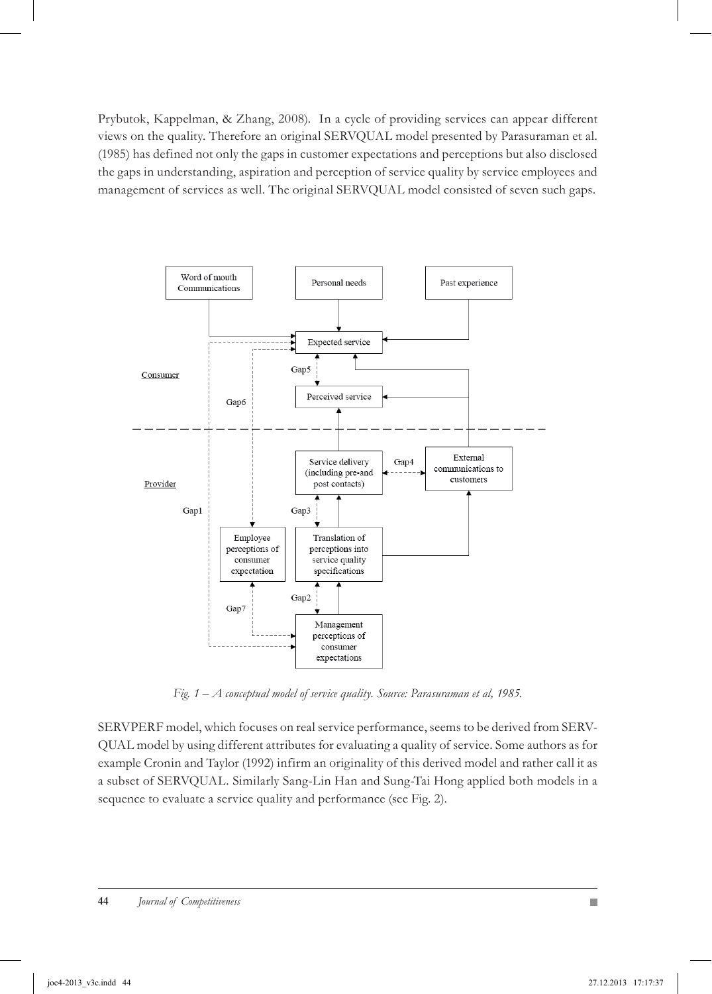Prybutok, Kappelman, & Zhang, 2008). In a cycle of providing services can appear different views on the quality. Therefore an original SERVQUAL model presented by Parasuraman et al. (1985) has defined not only the gaps in customer expectations and perceptions but also disclosed the gaps in understanding, aspiration and perception of service quality by service employees and management of services as well. The original SERVQUAL model consisted of seven such gaps.



*Fig. 1 – A conceptual model of service quality. Source: Parasuraman et al, 1985.*

SERVPERF model, which focuses on real service performance, seems to be derived from SERV-QUAL model by using different attributes for evaluating a quality of service. Some authors as for example Cronin and Taylor (1992) infirm an originality of this derived model and rather call it as a subset of SERVQUAL. Similarly Sang-Lin Han and Sung-Tai Hong applied both models in a sequence to evaluate a service quality and performance (see Fig. 2).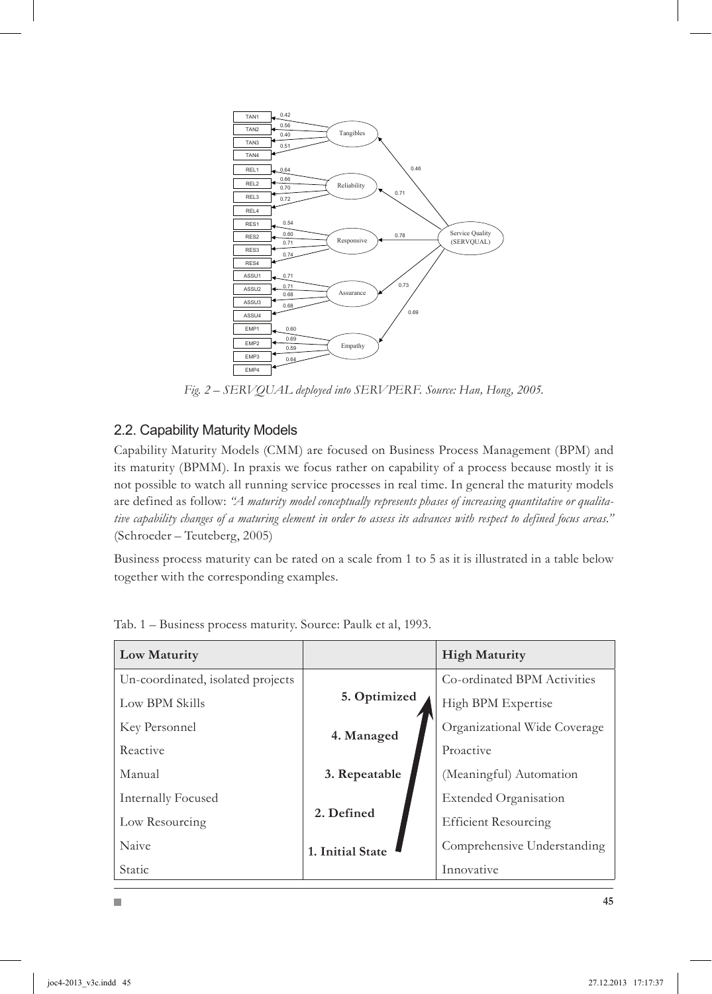

*Fig. 2 – SERVQUAL deployed into SERVPERF. Source: Han, Hong, 2005.*

#### 2.2. Capability Maturity Models

H

Capability Maturity Models (CMM) are focused on Business Process Management (BPM) and its maturity (BPMM). In praxis we focus rather on capability of a process because mostly it is not possible to watch all running service processes in real time. In general the maturity models are defined as follow: *"A maturity model conceptually represents phases of increasing quantitative or qualitative capability changes of a maturing element in order to assess its advances with respect to defined focus areas."*  (Schroeder – Teuteberg, 2005)

Business process maturity can be rated on a scale from 1 to 5 as it is illustrated in a table below together with the corresponding examples.

| Low Maturity                      |                  | <b>High Maturity</b>         |
|-----------------------------------|------------------|------------------------------|
| Un-coordinated, isolated projects |                  | Co-ordinated BPM Activities  |
| Low BPM Skills                    | 5. Optimized     | High BPM Expertise           |
| Key Personnel                     | 4. Managed       | Organizational Wide Coverage |
| Reactive                          |                  | Proactive                    |
| Manual                            | 3. Repeatable    | (Meaningful) Automation      |
| Internally Focused                |                  | <b>Extended Organisation</b> |
| Low Resourcing                    | 2. Defined       | <b>Efficient Resourcing</b>  |
| Naive                             | 1. Initial State | Comprehensive Understanding  |
| <b>Static</b>                     |                  | Innovative                   |

Tab. 1 – Business process maturity. Source: Paulk et al, 1993.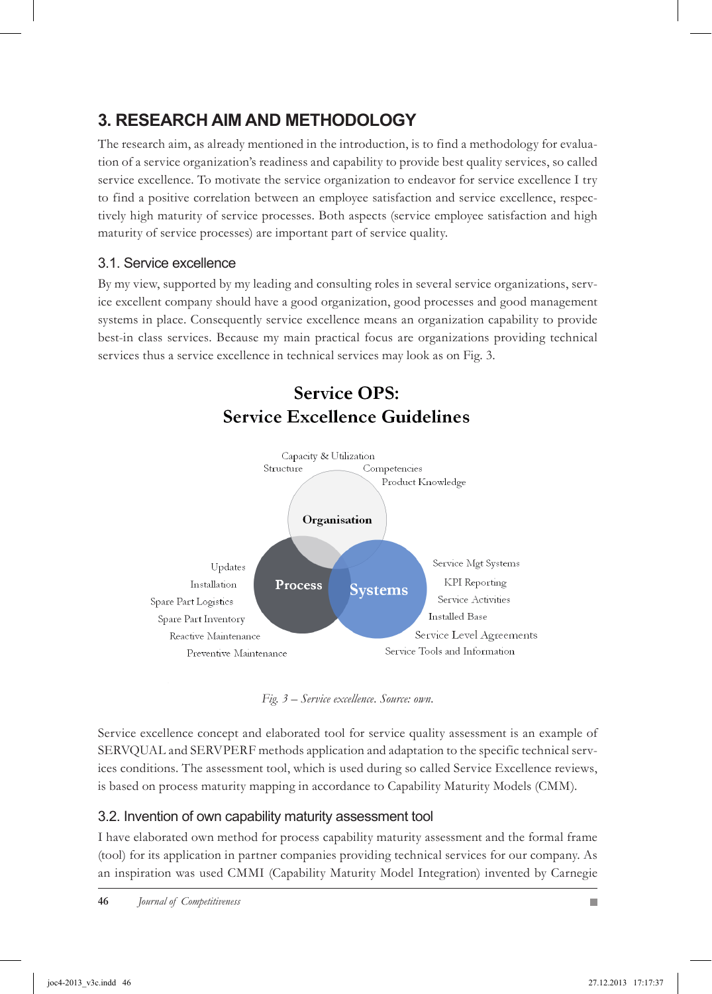## **3. RESEARCH AIM AND METHODOLOGY**

The research aim, as already mentioned in the introduction, is to find a methodology for evaluation of a service organization's readiness and capability to provide best quality services, so called service excellence. To motivate the service organization to endeavor for service excellence I try to find a positive correlation between an employee satisfaction and service excellence, respectively high maturity of service processes. Both aspects (service employee satisfaction and high maturity of service processes) are important part of service quality.

#### 3.1. Service excellence

By my view, supported by my leading and consulting roles in several service organizations, service excellent company should have a good organization, good processes and good management systems in place. Consequently service excellence means an organization capability to provide best-in class services. Because my main practical focus are organizations providing technical services thus a service excellence in technical services may look as on Fig. 3.



*Fig. 3 – Service excellence. Source: own.*

Service excellence concept and elaborated tool for service quality assessment is an example of SERVQUAL and SERVPERF methods application and adaptation to the specific technical services conditions. The assessment tool, which is used during so called Service Excellence reviews, is based on process maturity mapping in accordance to Capability Maturity Models (CMM).

### 3.2. Invention of own capability maturity assessment tool

I have elaborated own method for process capability maturity assessment and the formal frame (tool) for its application in partner companies providing technical services for our company. As an inspiration was used CMMI (Capability Maturity Model Integration) invented by Carnegie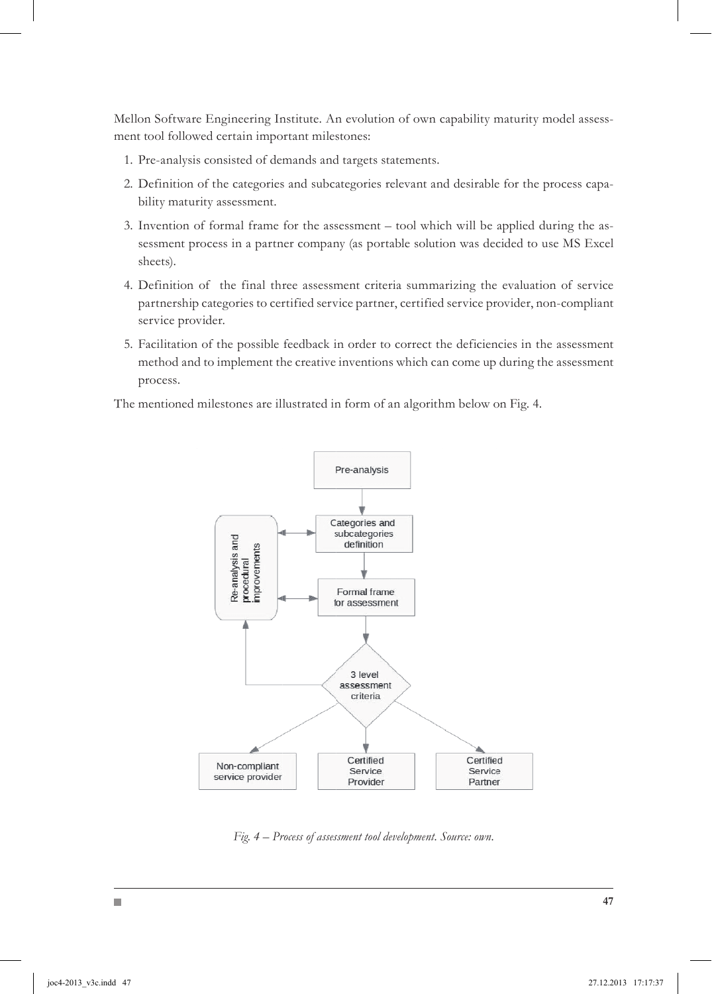Mellon Software Engineering Institute. An evolution of own capability maturity model assessment tool followed certain important milestones:

- 1. Pre-analysis consisted of demands and targets statements.
- 2. Definition of the categories and subcategories relevant and desirable for the process capability maturity assessment.
- 3. Invention of formal frame for the assessment tool which will be applied during the assessment process in a partner company (as portable solution was decided to use MS Excel sheets).
- Definition of the final three assessment criteria summarizing the evaluation of service 4. partnership categories to certified service partner, certified service provider, non-compliant service provider.
- Facilitation of the possible feedback in order to correct the deficiencies in the assessment 5. method and to implement the creative inventions which can come up during the assessment process.

The mentioned milestones are illustrated in form of an algorithm below on Fig. 4.



*Fig. 4 – Process of assessment tool development. Source: own.*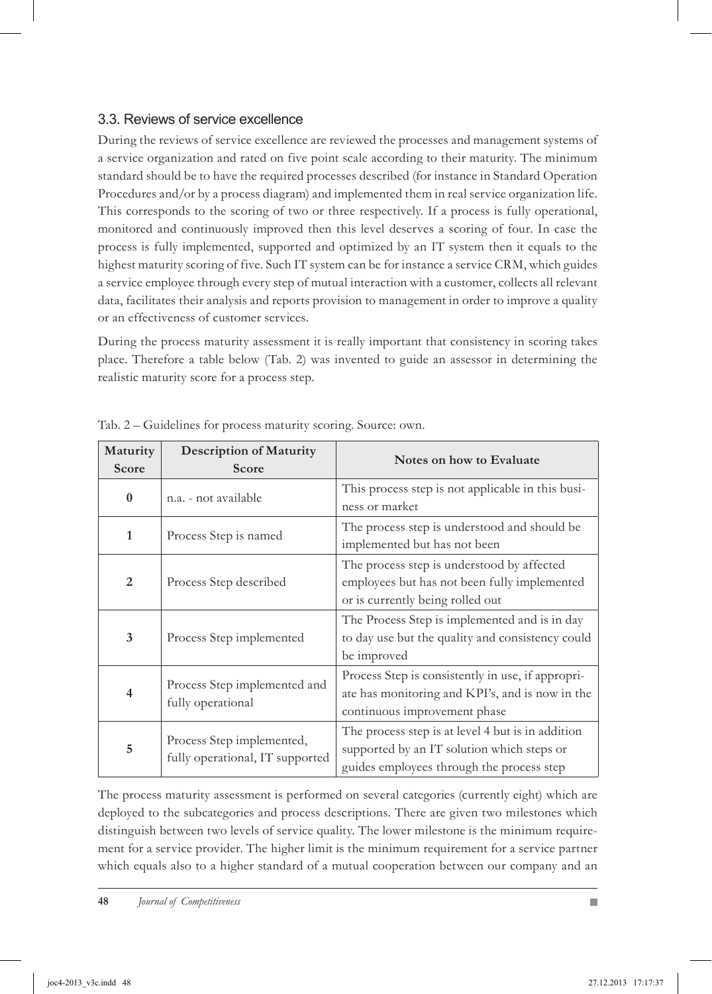#### 3.3. Reviews of service excellence

During the reviews of service excellence are reviewed the processes and management systems of a service organization and rated on five point scale according to their maturity. The minimum standard should be to have the required processes described (for instance in Standard Operation Procedures and/or by a process diagram) and implemented them in real service organization life. This corresponds to the scoring of two or three respectively. If a process is fully operational, monitored and continuously improved then this level deserves a scoring of four. In case the process is fully implemented, supported and optimized by an IT system then it equals to the highest maturity scoring of five. Such IT system can be for instance a service CRM, which guides a service employee through every step of mutual interaction with a customer, collects all relevant data, facilitates their analysis and reports provision to management in order to improve a quality or an effectiveness of customer services.

During the process maturity assessment it is really important that consistency in scoring takes place. Therefore a table below (Tab. 2) was invented to guide an assessor in determining the realistic maturity score for a process step.

| Maturity<br>Score | <b>Description of Maturity</b><br>Score                      | Notes on how to Evaluate                                                                                                                     |  |  |  |
|-------------------|--------------------------------------------------------------|----------------------------------------------------------------------------------------------------------------------------------------------|--|--|--|
| $\bf{0}$          | n.a. - not available                                         | This process step is not applicable in this busi-<br>ness or market                                                                          |  |  |  |
| $\mathbf{1}$      | Process Step is named                                        | The process step is understood and should be<br>implemented but has not been                                                                 |  |  |  |
| $\overline{2}$    | Process Step described                                       | The process step is understood by affected<br>employees but has not been fully implemented<br>or is currently being rolled out               |  |  |  |
| 3                 | Process Step implemented                                     | The Process Step is implemented and is in day<br>to day use but the quality and consistency could<br>be improved                             |  |  |  |
| $\overline{4}$    | Process Step implemented and<br>fully operational            | Process Step is consistently in use, if appropri-<br>ate has monitoring and KPI's, and is now in the<br>continuous improvement phase         |  |  |  |
| 5                 | Process Step implemented,<br>fully operational, IT supported | The process step is at level 4 but is in addition<br>supported by an IT solution which steps or<br>guides employees through the process step |  |  |  |

Tab. 2 – Guidelines for process maturity scoring. Source: own.

The process maturity assessment is performed on several categories (currently eight) which are deployed to the subcategories and process descriptions. There are given two milestones which distinguish between two levels of service quality. The lower milestone is the minimum requirement for a service provider. The higher limit is the minimum requirement for a service partner which equals also to a higher standard of a mutual cooperation between our company and an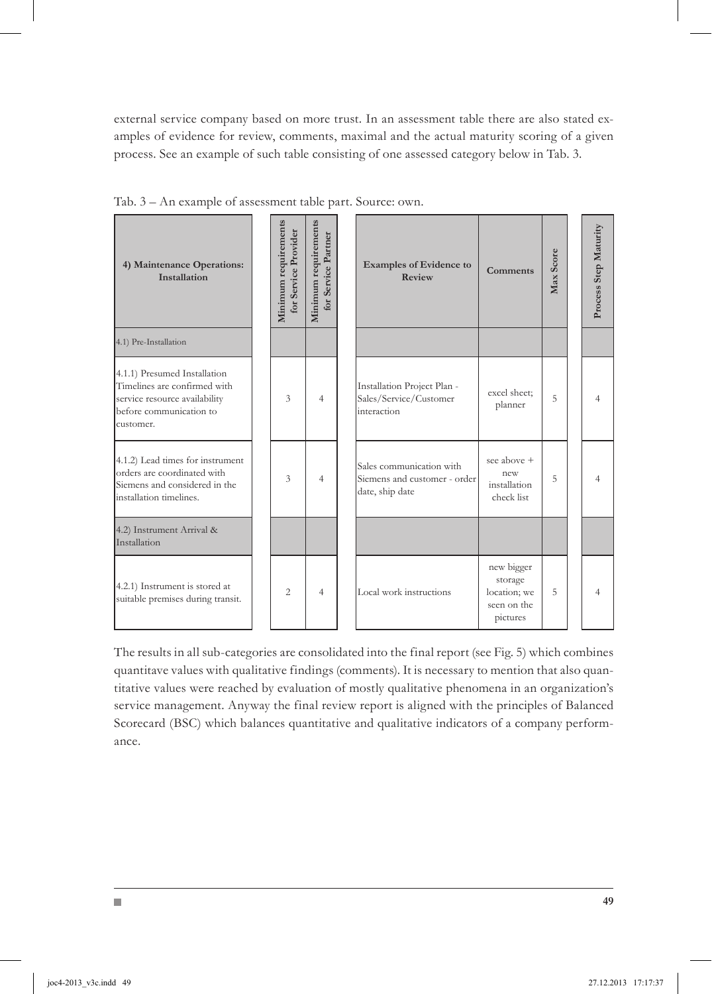external service company based on more trust. In an assessment table there are also stated examples of evidence for review, comments, maximal and the actual maturity scoring of a given process. See an example of such table consisting of one assessed category below in Tab. 3.

| 4) Maintenance Operations:<br>Installation                                                                                            | Minimum requirements<br>for Service Provider | Minimum requirements<br>for Service Partner | <b>Examples of Evidence to</b><br>Review                                    | <b>Comments</b>                                                  | Max Score | Process Step Maturity |
|---------------------------------------------------------------------------------------------------------------------------------------|----------------------------------------------|---------------------------------------------|-----------------------------------------------------------------------------|------------------------------------------------------------------|-----------|-----------------------|
| 4.1) Pre-Installation                                                                                                                 |                                              |                                             |                                                                             |                                                                  |           |                       |
| 4.1.1) Presumed Installation<br>Timelines are confirmed with<br>service resource availability<br>before communication to<br>customer. | 3                                            | 4                                           | Installation Project Plan -<br>Sales/Service/Customer<br>interaction        | excel sheet:<br>planner                                          | 5         | Δ                     |
| 4.1.2) Lead times for instrument<br>orders are coordinated with<br>Siemens and considered in the<br>installation timelines.           | 3                                            | 4                                           | Sales communication with<br>Siemens and customer - order<br>date, ship date | see above +<br>new<br>installation<br>check list                 | 5         |                       |
| 4.2) Instrument Arrival &<br>Installation                                                                                             |                                              |                                             |                                                                             |                                                                  |           |                       |
| 4.2.1) Instrument is stored at<br>suitable premises during transit.                                                                   | $\overline{c}$                               | 4                                           | Local work instructions                                                     | new bigger<br>storage<br>location; we<br>seen on the<br>pictures | 5         |                       |

Tab. 3 – An example of assessment table part. Source: own.

The results in all sub-categories are consolidated into the final report (see Fig. 5) which combines quantitave values with qualitative findings (comments). It is necessary to mention that also quantitative values were reached by evaluation of mostly qualitative phenomena in an organization's service management. Anyway the final review report is aligned with the principles of Balanced Scorecard (BSC) which balances quantitative and qualitative indicators of a company performance.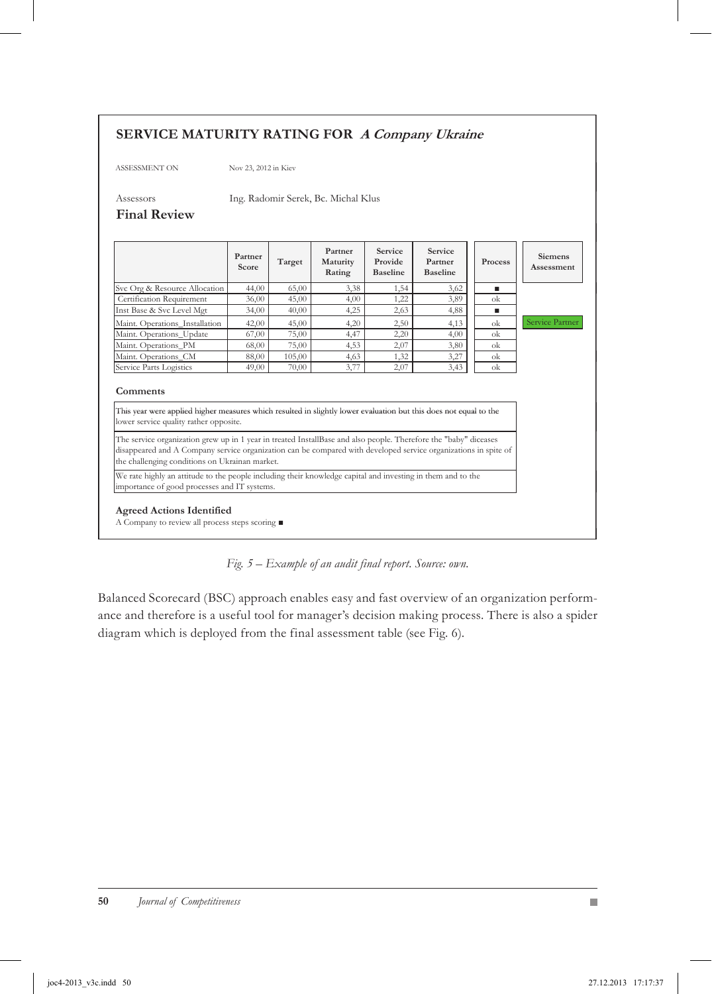#### **SERVICE MATURITY RATING FOR A Company Ukraine**

ASSESSMENT ON Nov 23, 2012 in Kiev

Assessors Ing. Radomir Serek, Bc. Michal Klus

#### **Final Review**

|                                                                                                                                                                                                                                                                                                                                                                                                                                                      | Partner<br>Score | Target | Partner<br>Maturity<br>Rating | Service<br>Provide<br><b>Baseline</b> | Service<br>Partner<br><b>Baseline</b> | Process | Siemens<br>Assessment |
|------------------------------------------------------------------------------------------------------------------------------------------------------------------------------------------------------------------------------------------------------------------------------------------------------------------------------------------------------------------------------------------------------------------------------------------------------|------------------|--------|-------------------------------|---------------------------------------|---------------------------------------|---------|-----------------------|
| Svc Org & Resource Allocation                                                                                                                                                                                                                                                                                                                                                                                                                        | 44,00            | 65,00  | 3,38                          | 1,54                                  | 3,62                                  | ٠       |                       |
| Certification Requirement                                                                                                                                                                                                                                                                                                                                                                                                                            | 36,00            | 45,00  | 4,00                          | 1,22                                  | 3,89                                  | ok      |                       |
| Inst Base & Svc Level Mgt                                                                                                                                                                                                                                                                                                                                                                                                                            | 34,00            | 40,00  | 4,25                          | 2,63                                  | 4,88                                  | ٠       |                       |
| Maint. Operations Installation                                                                                                                                                                                                                                                                                                                                                                                                                       | 42,00            | 45,00  | 4,20                          | 2,50                                  | 4,13                                  | ok      | Service Partner       |
| Maint. Operations_Update                                                                                                                                                                                                                                                                                                                                                                                                                             | 67,00            | 75,00  | 4,47                          | 2,20                                  | 4,00                                  | ok      |                       |
| Maint. Operations PM                                                                                                                                                                                                                                                                                                                                                                                                                                 | 68,00            | 75,00  | 4,53                          | 2,07                                  | 3,80                                  | ok      |                       |
| Maint. Operations CM                                                                                                                                                                                                                                                                                                                                                                                                                                 | 88,00            | 105,00 | 4,63                          | 1,32                                  | 3,27                                  | ok      |                       |
| Service Parts Logistics                                                                                                                                                                                                                                                                                                                                                                                                                              | 49,00            | 70,00  | 3,77                          | 2,07                                  | 3,43                                  | ok      |                       |
| Comments<br>This year were applied higher measures which resulted in slightly lower evaluation but this does not equal to the<br>lower service quality rather opposite.                                                                                                                                                                                                                                                                              |                  |        |                               |                                       |                                       |         |                       |
| The service organization grew up in 1 year in treated InstallBase and also people. Therefore the "baby" diceases<br>disappeared and A Company service organization can be compared with developed service organizations in spite of<br>the challenging conditions on Ukrainan market.<br>We rate highly an attitude to the people including their knowledge capital and investing in them and to the<br>importance of good processes and IT systems. |                  |        |                               |                                       |                                       |         |                       |

#### **Agreed Actions Identified**

A Company to review all process steps scoring  $\blacksquare$ 



Balanced Scorecard (BSC) approach enables easy and fast overview of an organization performance and therefore is a useful tool for manager's decision making process. There is also a spider diagram which is deployed from the final assessment table (see Fig. 6).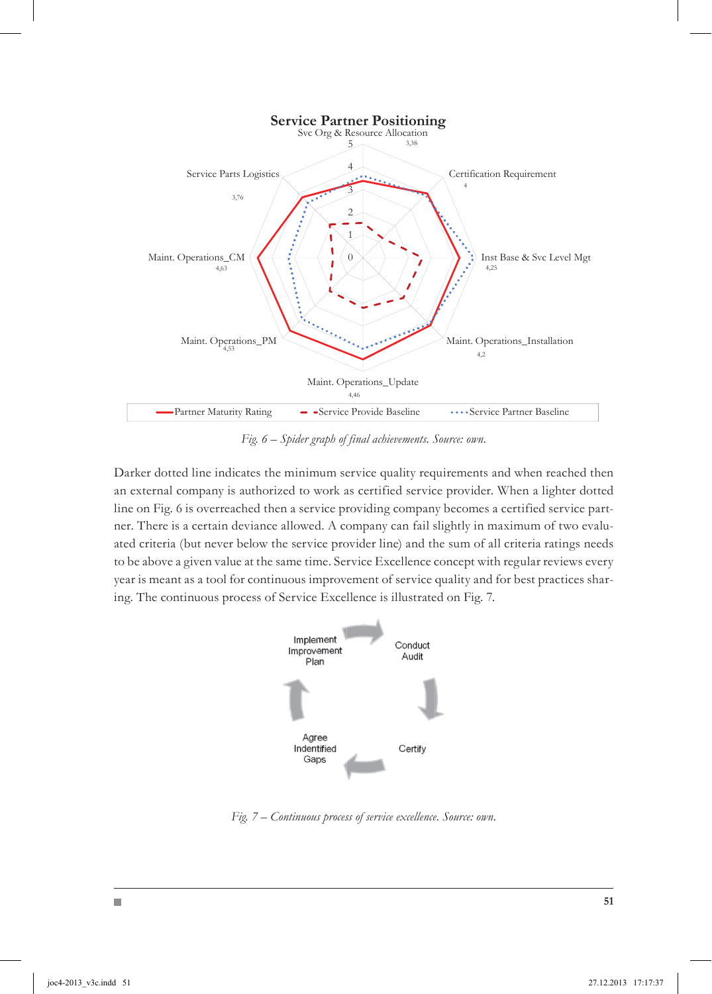

*Fig. 6 – Spider graph of final achievements. Source: own.*

Darker dotted line indicates the minimum service quality requirements and when reached then an external company is authorized to work as certified service provider. When a lighter dotted line on Fig. 6 is overreached then a service providing company becomes a certified service partner. There is a certain deviance allowed. A company can fail slightly in maximum of two evaluated criteria (but never below the service provider line) and the sum of all criteria ratings needs to be above a given value at the same time. Service Excellence concept with regular reviews every year is meant as a tool for continuous improvement of service quality and for best practices sharing. The continuous process of Service Excellence is illustrated on Fig. 7.



*Fig. 7 – Continuous process of service excellence. Source: own.*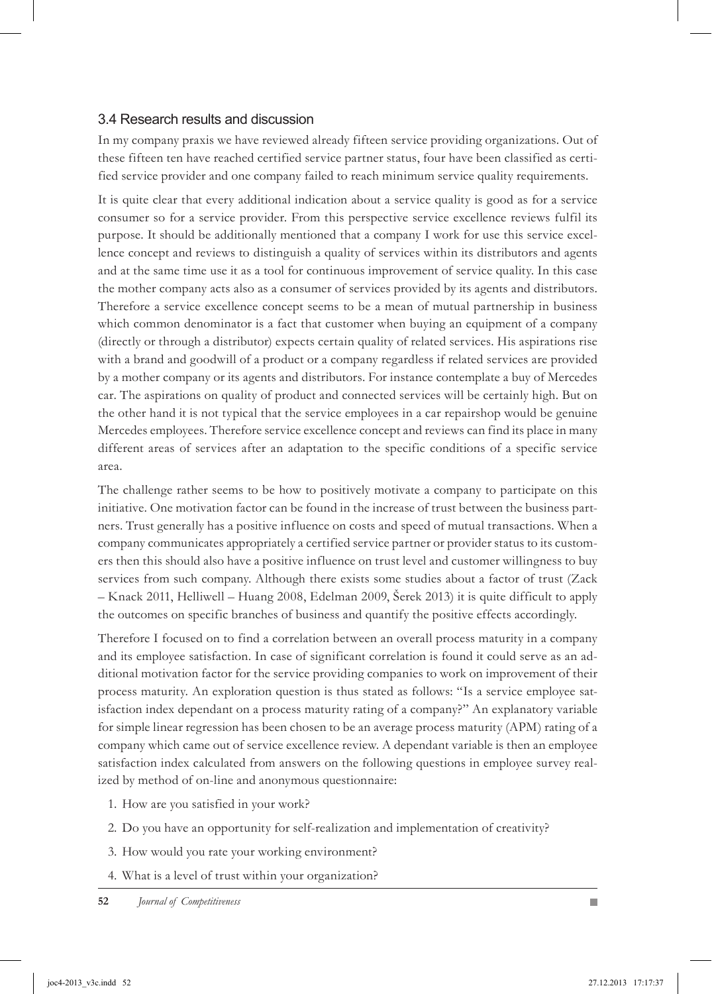#### 3.4 Research results and discussion

In my company praxis we have reviewed already fifteen service providing organizations. Out of these fifteen ten have reached certified service partner status, four have been classified as certified service provider and one company failed to reach minimum service quality requirements.

It is quite clear that every additional indication about a service quality is good as for a service consumer so for a service provider. From this perspective service excellence reviews fulfil its purpose. It should be additionally mentioned that a company I work for use this service excellence concept and reviews to distinguish a quality of services within its distributors and agents and at the same time use it as a tool for continuous improvement of service quality. In this case the mother company acts also as a consumer of services provided by its agents and distributors. Therefore a service excellence concept seems to be a mean of mutual partnership in business which common denominator is a fact that customer when buying an equipment of a company (directly or through a distributor) expects certain quality of related services. His aspirations rise with a brand and goodwill of a product or a company regardless if related services are provided by a mother company or its agents and distributors. For instance contemplate a buy of Mercedes car. The aspirations on quality of product and connected services will be certainly high. But on the other hand it is not typical that the service employees in a car repairshop would be genuine Mercedes employees. Therefore service excellence concept and reviews can find its place in many different areas of services after an adaptation to the specific conditions of a specific service area.

The challenge rather seems to be how to positively motivate a company to participate on this initiative. One motivation factor can be found in the increase of trust between the business partners. Trust generally has a positive influence on costs and speed of mutual transactions. When a company communicates appropriately a certified service partner or provider status to its customers then this should also have a positive influence on trust level and customer willingness to buy services from such company. Although there exists some studies about a factor of trust (Zack – Knack 2011, Helliwell – Huang 2008, Edelman 2009, Šerek 2013) it is quite difficult to apply the outcomes on specific branches of business and quantify the positive effects accordingly.

Therefore I focused on to find a correlation between an overall process maturity in a company and its employee satisfaction. In case of significant correlation is found it could serve as an additional motivation factor for the service providing companies to work on improvement of their process maturity. An exploration question is thus stated as follows: "Is a service employee satisfaction index dependant on a process maturity rating of a company?" An explanatory variable for simple linear regression has been chosen to be an average process maturity (APM) rating of a company which came out of service excellence review. A dependant variable is then an employee satisfaction index calculated from answers on the following questions in employee survey realized by method of on-line and anonymous questionnaire:

- 1. How are you satisfied in your work?
- 2. Do you have an opportunity for self-realization and implementation of creativity?
- 3. How would you rate your working environment?
- What is a level of trust within your organization? 4.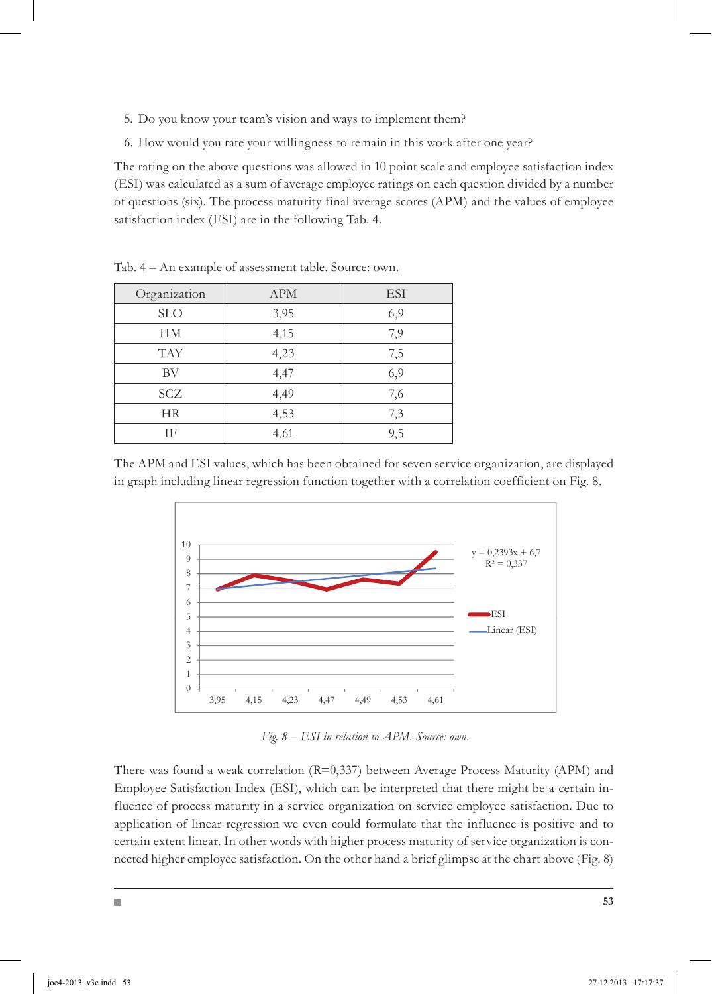- 5. Do you know your team's vision and ways to implement them?
- 6. How would you rate your willingness to remain in this work after one year?

The rating on the above questions was allowed in 10 point scale and employee satisfaction index (ESI) was calculated as a sum of average employee ratings on each question divided by a number of questions (six). The process maturity final average scores (APM) and the values of employee satisfaction index (ESI) are in the following Tab. 4.

| Organization | <b>APM</b> | <b>ESI</b> |
|--------------|------------|------------|
| <b>SLO</b>   | 3,95       | 6,9        |
| HМ           | 4,15       | 7,9        |
| <b>TAY</b>   | 4,23       | 7,5        |
| BV           | 4,47       | 6,9        |
| SCZ          | 4,49       | 7,6        |
| НR           | 4,53       | 7,3        |
| ΙF           | 4,61       | 9,5        |

Tab. 4 – An example of assessment table. Source: own.

The APM and ESI values, which has been obtained for seven service organization, are displayed in graph including linear regression function together with a correlation coefficient on Fig. 8.



 *Fig. 8 – ESI in relation to APM. Source: own.*

There was found a weak correlation (R=0,337) between Average Process Maturity (APM) and Employee Satisfaction Index (ESI), which can be interpreted that there might be a certain influence of process maturity in a service organization on service employee satisfaction. Due to application of linear regression we even could formulate that the influence is positive and to certain extent linear. In other words with higher process maturity of service organization is connected higher employee satisfaction. On the other hand a brief glimpse at the chart above (Fig. 8)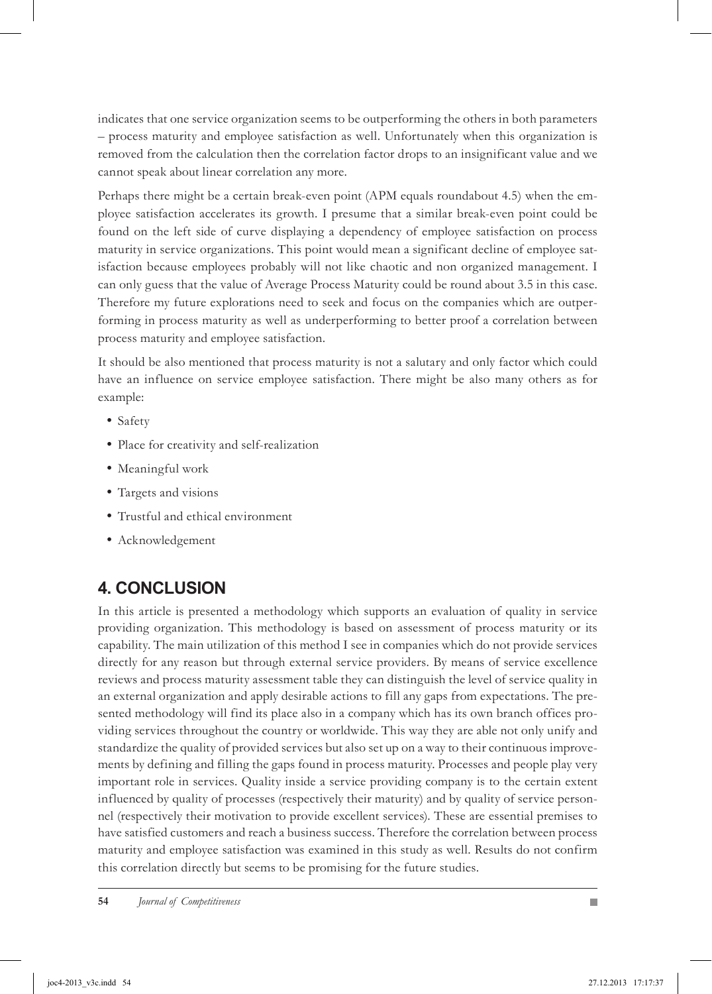indicates that one service organization seems to be outperforming the others in both parameters – process maturity and employee satisfaction as well. Unfortunately when this organization is removed from the calculation then the correlation factor drops to an insignificant value and we cannot speak about linear correlation any more.

Perhaps there might be a certain break-even point (APM equals roundabout 4.5) when the employee satisfaction accelerates its growth. I presume that a similar break-even point could be found on the left side of curve displaying a dependency of employee satisfaction on process maturity in service organizations. This point would mean a significant decline of employee satisfaction because employees probably will not like chaotic and non organized management. I can only guess that the value of Average Process Maturity could be round about 3.5 in this case. Therefore my future explorations need to seek and focus on the companies which are outperforming in process maturity as well as underperforming to better proof a correlation between process maturity and employee satisfaction.

It should be also mentioned that process maturity is not a salutary and only factor which could have an influence on service employee satisfaction. There might be also many others as for example:

- Safety
- Place for creativity and self-realization
- Meaningful work
- Targets and visions
- Trustful and ethical environment
- Acknowledgement

## **4. CONCLUSION**

In this article is presented a methodology which supports an evaluation of quality in service providing organization. This methodology is based on assessment of process maturity or its capability. The main utilization of this method I see in companies which do not provide services directly for any reason but through external service providers. By means of service excellence reviews and process maturity assessment table they can distinguish the level of service quality in an external organization and apply desirable actions to fill any gaps from expectations. The presented methodology will find its place also in a company which has its own branch offices providing services throughout the country or worldwide. This way they are able not only unify and standardize the quality of provided services but also set up on a way to their continuous improvements by defining and filling the gaps found in process maturity. Processes and people play very important role in services. Quality inside a service providing company is to the certain extent influenced by quality of processes (respectively their maturity) and by quality of service personnel (respectively their motivation to provide excellent services). These are essential premises to have satisfied customers and reach a business success. Therefore the correlation between process maturity and employee satisfaction was examined in this study as well. Results do not confirm this correlation directly but seems to be promising for the future studies.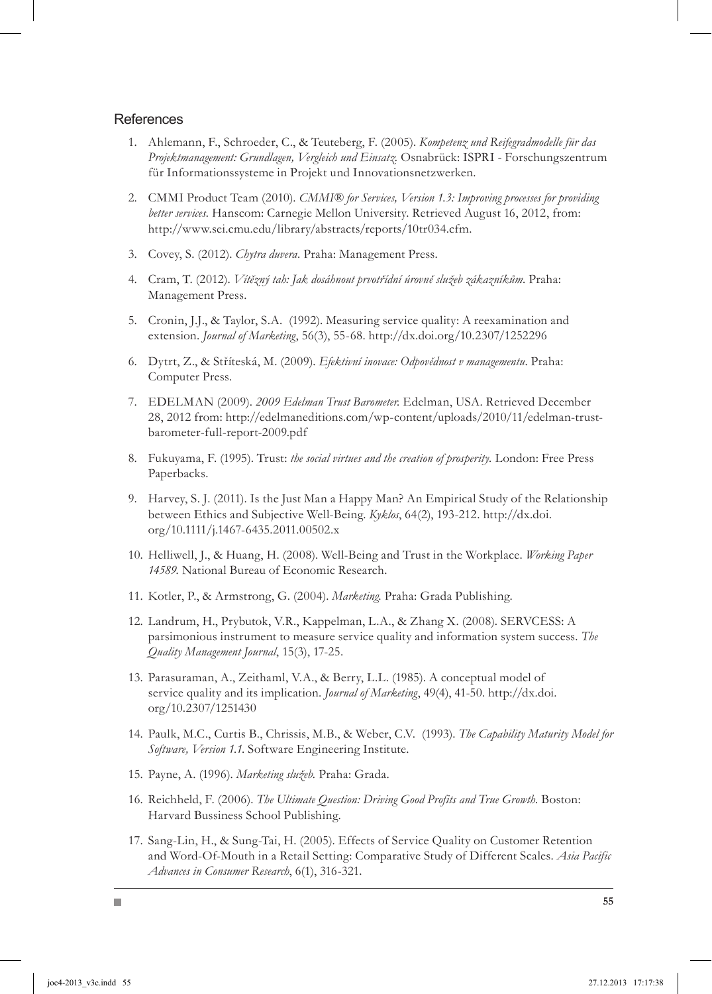#### **References**

- Ahlemann, F., Schroeder, C., & Teuteberg, F. (2005). *Kompetenz und Reifegradmodelle für das*  1. *Projektmanagement: Grundlagen, Vergleich und Einsatz.* Osnabrück: ISPRI - Forschungszentrum für Informationssysteme in Projekt und Innovationsnetzwerken.
- 2. CMMI Product Team (2010). *CMMI® for Services, Version 1.3: Improving processes for providing better services.* Hanscom: Carnegie Mellon University. Retrieved August 16, 2012, from: http://www.sei.cmu.edu/library/abstracts/reports/10tr034.cfm.
- 3. Covey, S. (2012). *Chytra duvera*. Praha: Management Press.
- Cram, T. (2012). *Vítězný tah: Jak dosáhnout prvotřídní úrovně služeb zákazníkům*. Praha: 4. Management Press.
- 5. Cronin, J.J., & Taylor, S.A. (1992). Measuring service quality: A reexamination and extension. *Journal of Marketing*, 56(3), 55-68. http://dx.doi.org/10.2307/1252296
- Dytrt, Z., & Stříteská, M. (2009). *Efektivní inovace: Odpovědnost v managementu*. Praha: 6. Computer Press.
- EDELMAN (2009). *2009 Edelman Trust Barometer.* Edelman, USA. Retrieved December 7. 28, 2012 from: http://edelmaneditions.com/wp-content/uploads/2010/11/edelman-trustbarometer-full-report-2009.pdf
- 8. Fukuyama, F. (1995). Trust: *the social virtues and the creation of prosperity*. London: Free Press Paperbacks.
- 9. Harvey, S. J. (2011). Is the Just Man a Happy Man? An Empirical Study of the Relationship between Ethics and Subjective Well-Being. *Kyklos*, 64(2), 193-212. http://dx.doi. org/10.1111/j.1467-6435.2011.00502.x
- 10. Helliwell, J., & Huang, H. (2008). Well-Being and Trust in the Workplace. *Working Paper 14589.* National Bureau of Economic Research.
- 11. Kotler, P., & Armstrong, G. (2004). *Marketing*. Praha: Grada Publishing.
- 12. Landrum, H., Prybutok, V.R., Kappelman, L.A., & Zhang X. (2008). SERVCESS: A parsimonious instrument to measure service quality and information system success. *The Quality Management Journal*, 15(3), 17-25.
- 13. Parasuraman, A., Zeithaml, V.A., & Berry, L.L. (1985). A conceptual model of service quality and its implication. *Journal of Marketing*, 49(4), 41-50. http://dx.doi. org/10.2307/1251430
- 14. Paulk, M.C., Curtis B., Chrissis, M.B., & Weber, C.V. (1993). *The Capability Maturity Model for Software, Version 1.1*. Software Engineering Institute.
- 15. Payne, A. (1996). Marketing služeb. Praha: Grada.

П

- 16. Reichheld, F. (2006). The Ultimate Question: Driving Good Profits and True Growth. Boston: Harvard Bussiness School Publishing.
- 17. Sang-Lin, H., & Sung-Tai, H. (2005). Effects of Service Quality on Customer Retention and Word-Of-Mouth in a Retail Setting: Comparative Study of Different Scales. *Asia Pacific Advances in Consumer Research*, 6(1), 316-321.